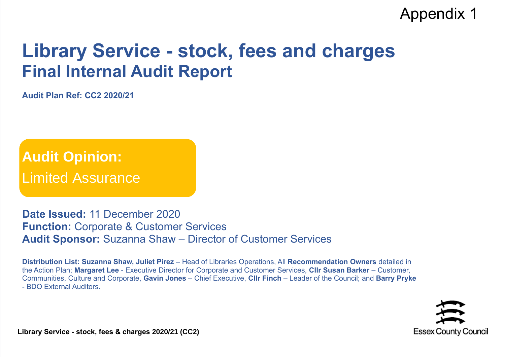## Appendix 1

## **Library Service - stock, fees and charges Final Internal Audit Report**

**Audit Plan Ref: CC2 2020/21**

**Audit Opinion:** Limited Assurance

**Date Issued:** 11 December 2020 **Function:** Corporate & Customer Services **Audit Sponsor:** Suzanna Shaw – Director of Customer Services

**Distribution List: Suzanna Shaw, Juliet Pirez** – Head of Libraries Operations, All **Recommendation Owners** detailed in the Action Plan; **Margaret Lee** - Executive Director for Corporate and Customer Services, **Cllr Susan Barker** – Customer, Communities, Culture and Corporate, **Gavin Jones** – Chief Executive, **Cllr Finch** – Leader of the Council; and **Barry Pryke** - BDO External Auditors.



**Library Service - stock, fees & charges 2020/21 (CC2)**